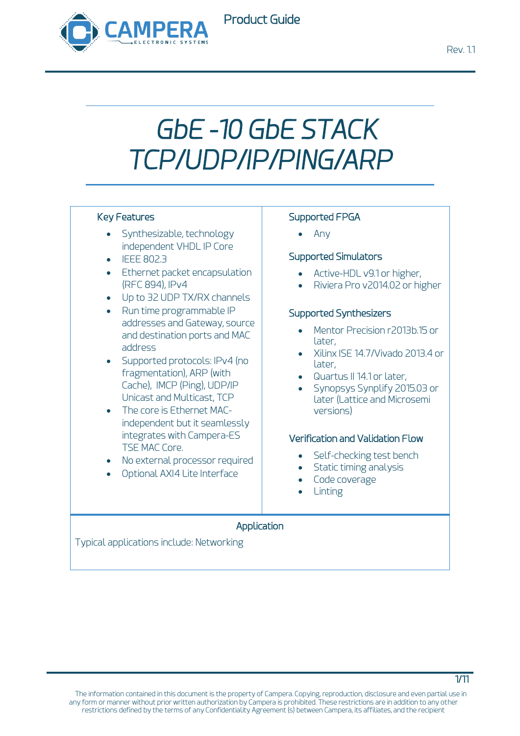

## Product Guide

# *GbE -10 GbE STACK TCP/UDP/IP/PING/ARP*

#### Key Features

- Synthesizable, technology independent VHDL IP Core
- IEEE 802.3
- Ethernet packet encapsulation (RFC 894), IPv4
- Up to 32 UDP TX/RX channels
- Run time programmable IP addresses and Gateway, source and destination ports and MAC address
- Supported protocols: IPv4 (no fragmentation), ARP (with Cache), IMCP (Ping), UDP/IP Unicast and Multicast, TCP
- The core is Ethernet MACindependent but it seamlessly integrates with Campera-ES TSE MAC Core.
- No external processor required
- Optional AXI4 Lite Interface

#### Supported FPGA

• Any

#### Supported Simulators

- Active-HDL v9.1 or higher,
- Riviera Pro v2014.02 or higher

#### Supported Synthesizers

- Mentor Precision r2013b.15 or later,
- Xilinx ISE 14.7/Vivado 2013.4 or later,
- Quartus II 14.1 or later,
- Synopsys Synplify 2015.03 or later (Lattice and Microsemi versions)

#### Verification and Validation Flow

- Self-checking test bench
- Static timing analysis
- Code coverage
- **Linting**

#### Application

Typical applications include: Networking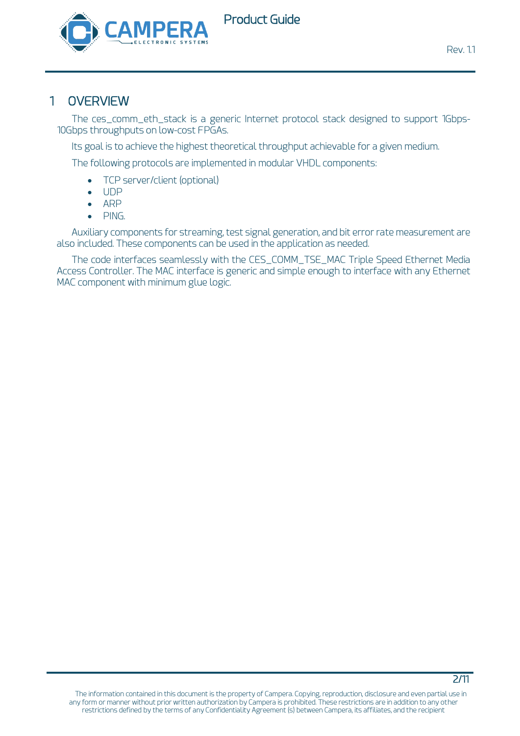

## 1 OVERVIEW

The ces\_comm\_eth\_stack is a generic Internet protocol stack designed to support 1Gbps-10Gbps throughputs on low-cost FPGAs.

Its goal is to achieve the highest theoretical throughput achievable for a given medium.

The following protocols are implemented in modular VHDL components:

- TCP server/client (optional)
- UDP
- ARP
- PING.

Auxiliary components for streaming, test signal generation, and bit error rate measurement are also included. These components can be used in the application as needed.

The code interfaces seamlessly with the CES\_COMM\_TSE\_MAC Triple Speed Ethernet Media Access Controller. The MAC interface is generic and simple enough to interface with any Ethernet MAC component with minimum glue logic.

#### 2/11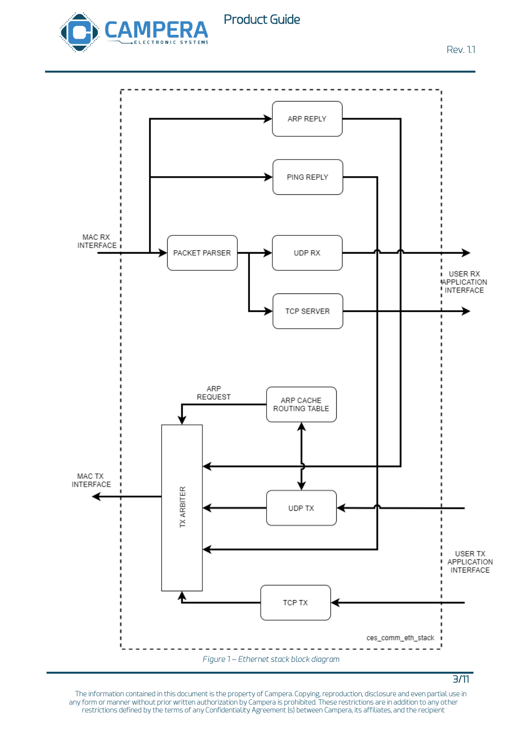

Rev. 1.1

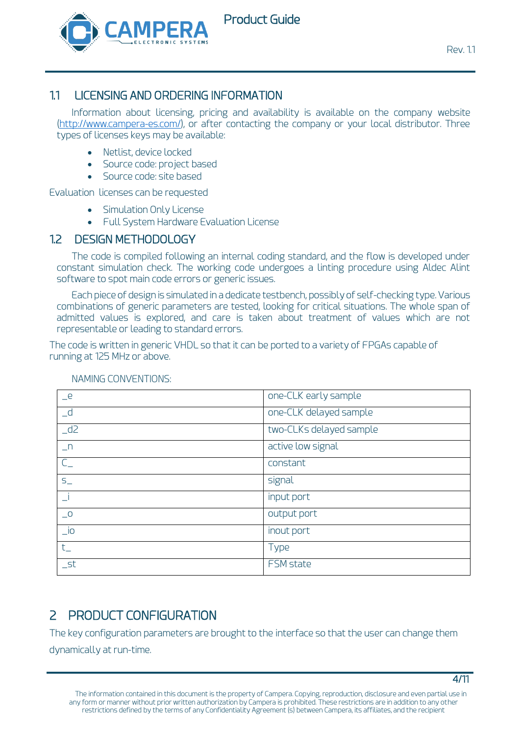

## 1.1 LICENSING AND ORDERING INFORMATION

Information about licensing, pricing and availability is available on the company website [\(http://www.campera-es.com/\)](http://www.campera-es.com/), or after contacting the company or your local distributor. Three types of licenses keys may be available:

- Netlist, device locked
- Source code: project based
- Source code: site based

Evaluation licenses can be requested

- [Simulation Only License](https://www.xilinx.com/support/documentation/sw_manuals/xilinx11/cgn_r_simulation_only_license.htm)
- [Full System Hardware Evaluation License](https://www.xilinx.com/support/documentation/sw_manuals/xilinx11/cgn_p_obtaining_full_system_hardware_evaluation_license.htm)

### 1.2 DESIGN METHODOLOGY

The code is compiled following an internal coding standard, and the flow is developed under constant simulation check. The working code undergoes a linting procedure using Aldec Alint software to spot main code errors or generic issues.

Each piece of design is simulated in a dedicate testbench, possibly of self-checking type. Various combinations of generic parameters are tested, looking for critical situations. The whole span of admitted values is explored, and care is taken about treatment of values which are not representable or leading to standard errors.

The code is written in generic VHDL so that it can be ported to a variety of FPGAs capable of running at 125 MHz or above.

| $-e$                        | one-CLK early sample    |
|-----------------------------|-------------------------|
| $-d$                        | one-CLK delayed sample  |
| $-d2$                       | two-CLKs delayed sample |
| $n_{-}$                     | active low signal       |
| $C_{-}$                     | constant                |
| $S_{-}$                     | signal                  |
|                             | input port              |
| $\overline{\phantom{0}}$    | output port             |
| $\overline{\phantom{a}}$ io | inout port              |
| $t_{-}$                     | <b>Type</b>             |
| $\_$ st                     | FSM state               |

#### NAMING CONVENTIONS:

# 2 PRODUCT CONFIGURATION

The key configuration parameters are brought to the interface so that the user can change them dynamically at run-time.

4/11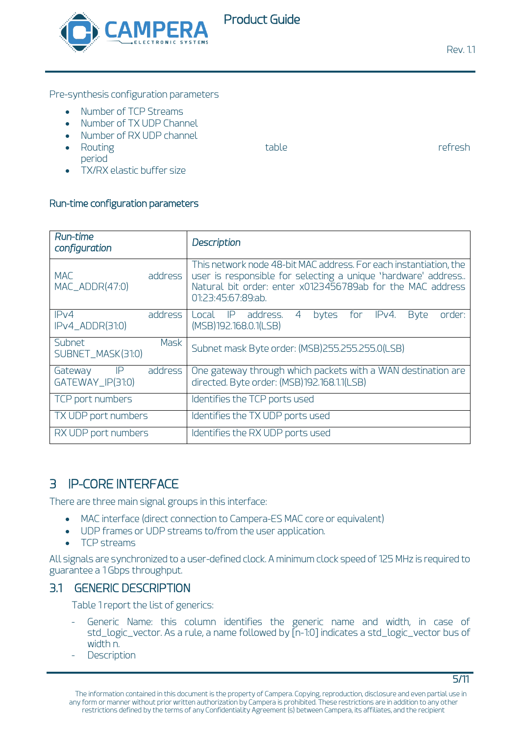

**Rev. 11** 

Pre-synthesis configuration parameters

- Number of TCP Streams
- Number of TX UDP Channel
- Number of RX UDP channel
- Routing  $\bullet$  refresh period

5/11

• TX/RX elastic buffer size

#### Run-time configuration parameters

| Run-time<br>configuration                     | Description                                                                                                                                                                                                            |
|-----------------------------------------------|------------------------------------------------------------------------------------------------------------------------------------------------------------------------------------------------------------------------|
| <b>MAC</b><br>address<br>$MAC$ _ $ADDR(47:0)$ | This network node 48-bit MAC address. For each instantiation, the<br>user is responsible for selecting a unique 'hardware' address<br>Natural bit order: enter x0123456789ab for the MAC address<br>01:23:45:67:89:ab. |
| address<br>IPv4<br>$IPv4$ _ADDR(31:0)         | address.<br>IPv4.<br><b>Byte</b><br>order:<br>bytes<br>for<br>Local IP<br>4<br>(MSB)192.168.0.1(LSB)                                                                                                                   |
| Mask<br>Subnet<br>SUBNET_MASK(31:0)           | Subnet mask Byte order: (MSB)255.255.255.0(LSB)                                                                                                                                                                        |
| P <br>address<br>Gateway<br>GATEWAY_IP(31:0)  | One gateway through which packets with a WAN destination are<br>directed. Byte order: (MSB)192.168.1.1(LSB)                                                                                                            |
| TCP port numbers                              | Identifies the TCP ports used                                                                                                                                                                                          |
| TX UDP port numbers                           | Identifies the TX UDP ports used                                                                                                                                                                                       |
| RX UDP port numbers                           | Identifies the RX UDP ports used                                                                                                                                                                                       |

## 3 IP-CORE INTERFACE

There are three main signal groups in this interface:

- MAC interface (direct connection to Campera-ES MAC core or equivalent)
- UDP frames or UDP streams to/from the user application.
- TCP streams

All signals are synchronized to a user-defined clock. A minimum clock speed of 125 MHz is required to guarantee a 1 Gbps throughput.

## 3.1 GENERIC DESCRIPTION

[Table 1](#page-5-0) report the list of generics:

- Generic Name: this column identifies the generic name and width, in case of std\_logic\_vector. As a rule, a name followed by [n-1:0] indicates a std\_logic\_vector bus of width n.
- **Description**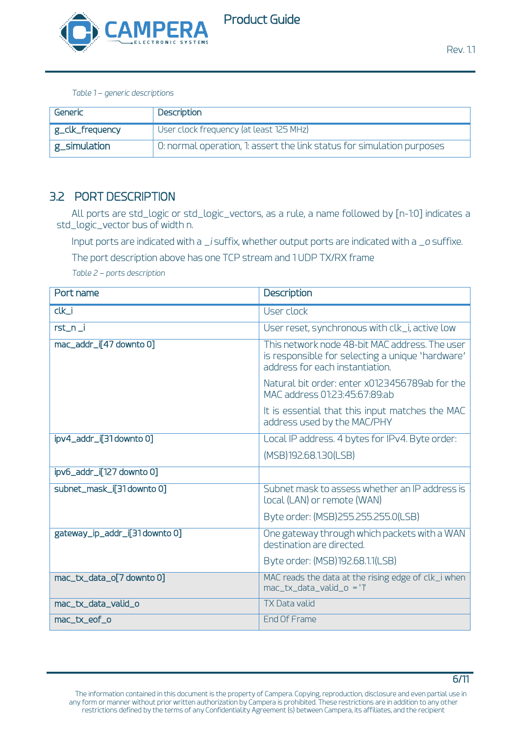

*Table 1 – generic descriptions*

<span id="page-5-0"></span>

| Generic                | Description                                                            |
|------------------------|------------------------------------------------------------------------|
| $ $ $g$ _clk_frequency | User clock frequency (at least 125 MHz)                                |
| $ $ g_simulation       | 0: normal operation, 1: assert the link status for simulation purposes |

## 3.2 PORT DESCRIPTION

All ports are std\_logic or std\_logic\_vectors, as a rule, a name followed by [n-1:0] indicates a std\_logic\_vector bus of width n.

Input ports are indicated with a *\_i* suffix, whether output ports are indicated with a *\_o* suffixe.

The port description above has one TCP stream and 1 UDP TX/RX frame

*Table 2 – ports description*

| Port name                      | Description                                                                                                                           |
|--------------------------------|---------------------------------------------------------------------------------------------------------------------------------------|
| $clk_i$                        | User clock                                                                                                                            |
| $rst_n$                        | User reset, synchronous with clk_i, active low                                                                                        |
| mac_addr_i[47 downto 0]        | This network node 48-bit MAC address. The user<br>is responsible for selecting a unique 'hardware'<br>address for each instantiation. |
|                                | Natural bit order: enter x0123456789ab for the<br>MAC address 01:23:45:67:89:ab                                                       |
|                                | It is essential that this input matches the MAC<br>address used by the MAC/PHY                                                        |
| ipv4_addr_i[31downto 0]        | Local IP address. 4 bytes for IPv4. Byte order:                                                                                       |
|                                | (MSB)192.68.1.30(LSB)                                                                                                                 |
| ipv6_addr_i[127 downto 0]      |                                                                                                                                       |
| subnet_mask_i[31 downto 0]     | Subnet mask to assess whether an IP address is<br>local (LAN) or remote (WAN)                                                         |
|                                | Byte order: (MSB)255.255.255.0(LSB)                                                                                                   |
| gateway_ip_addr_i[31 downto 0] | One gateway through which packets with a WAN<br>destination are directed.                                                             |
|                                | Byte order: (MSB) 192.68.1.1(LSB)                                                                                                     |
| mac_tx_data_o[7 downto 0]      | MAC reads the data at the rising edge of clk_i when<br>$mac_t x_data_value_0 = '1'$                                                   |
| mac_tx_data_valid_o            | <b>TX Data valid</b>                                                                                                                  |
| mac_tx_eof_o                   | End Of Frame                                                                                                                          |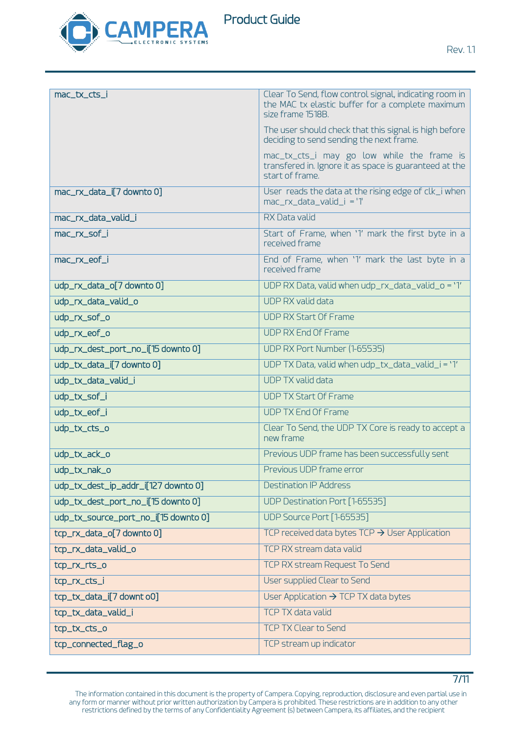

Product Guide

7/11

| mac_tx_cts_i                         | Clear To Send, flow control signal, indicating room in<br>the MAC tx elastic buffer for a complete maximum<br>size frame 1518B. |
|--------------------------------------|---------------------------------------------------------------------------------------------------------------------------------|
|                                      | The user should check that this signal is high before<br>deciding to send sending the next frame.                               |
|                                      | mac_tx_cts_i may go low while the frame is<br>transfered in. Ignore it as space is guaranteed at the<br>start of frame.         |
| mac_rx_data_i[7 downto 0]            | User reads the data at the rising edge of clk_i when<br>mac_rx_data_valid_i = '1'                                               |
| mac_rx_data_valid_i                  | <b>RX Data valid</b>                                                                                                            |
| mac_rx_sof_i                         | Start of Frame, when '1' mark the first byte in a<br>received frame                                                             |
| mac_rx_eof_i                         | End of Frame, when '1' mark the last byte in a<br>received frame                                                                |
| udp_rx_data_o[7 downto 0]            | UDP RX Data, valid when udp_rx_data_valid_o = '1'                                                                               |
| udp_rx_data_valid_o                  | <b>UDP RX valid data</b>                                                                                                        |
| udp_rx_sof_o                         | <b>UDP RX Start Of Frame</b>                                                                                                    |
| udp_rx_eof_o                         | <b>UDP RX End Of Frame</b>                                                                                                      |
| udp_rx_dest_port_no_i[15 downto 0]   | UDP RX Port Number (1-65535)                                                                                                    |
| udp_tx_data_i[7 downto 0]            | UDP TX Data, valid when udp_tx_data_valid_i = '1'                                                                               |
| udp_tx_data_valid_i                  | <b>UDP TX valid data</b>                                                                                                        |
| udp_tx_sof_i                         | <b>UDP TX Start Of Frame</b>                                                                                                    |
| udp_tx_eof_i                         | <b>UDP TX End Of Frame</b>                                                                                                      |
| udp_tx_cts_o                         | Clear To Send, the UDP TX Core is ready to accept a<br>new frame                                                                |
| udp_tx_ack_o                         | Previous UDP frame has been successfully sent                                                                                   |
| udp_tx_nak_o                         | Previous UDP frame error                                                                                                        |
| udp_tx_dest_ip_addr_i[127 downto 0]  | <b>Destination IP Address</b>                                                                                                   |
| udp_tx_dest_port_no_i[15 downto 0]   | UDP Destination Port [1-65535]                                                                                                  |
| udp_tx_source_port_no_i[15 downto 0] | UDP Source Port [1-65535]                                                                                                       |
| tcp_rx_data_o[7 downto 0]            | TCP received data bytes $TCP \rightarrow User Application$                                                                      |
| tcp_rx_data_valid_o                  | TCP RX stream data valid                                                                                                        |
| tcp_rx_rts_o                         | TCP RX stream Request To Send                                                                                                   |
| tcp_rx_cts_i                         | User supplied Clear to Send                                                                                                     |
| tcp_tx_data_i[7 downt o0]            | User Application $\rightarrow$ TCP TX data bytes                                                                                |
| tcp_tx_data_valid_i                  | <b>TCP TX data valid</b>                                                                                                        |
| tcp_tx_cts_o                         | <b>TCP TX Clear to Send</b>                                                                                                     |
| tcp_connected_flag_o                 | TCP stream up indicator                                                                                                         |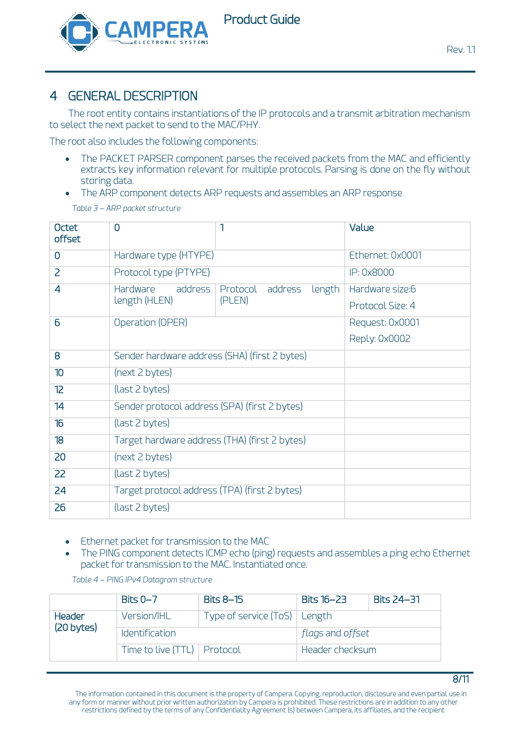

## 4 GENERAL DESCRIPTION

The root entity contains instantiations of the IP protocols and a transmit arbitration mechanism to select the next packet to send to the MAC/PHY.

The root also includes the following components:

- The PACKET PARSER component parses the received packets from the MAC and efficiently extracts key information relevant for multiple protocols. Parsing is done on the fly without storing data.
- The ARP component detects ARP requests and assembles an ARP response *Table 3 – ARP packet structure*

| <b>Octet</b><br>offset | $\overline{0}$                                | 1                             | Value            |
|------------------------|-----------------------------------------------|-------------------------------|------------------|
| $\overline{0}$         | Hardware type (HTYPE)                         |                               | Ethernet: 0x0001 |
| $\overline{2}$         | Protocol type (PTYPE)                         |                               | IP: 0x8000       |
| 4                      | Hardware<br>address                           | length<br>Protocol<br>address | Hardware size:6  |
|                        | length (HLEN)                                 | (PLEN)                        | Protocol Size: 4 |
| 6                      | Operation (OPER)                              |                               | Request: 0x0001  |
|                        |                                               |                               | Reply: 0x0002    |
| 8                      | Sender hardware address (SHA) (first 2 bytes) |                               |                  |
| 10                     | (next 2 bytes)                                |                               |                  |
| 12 <sup>2</sup>        | (last 2 bytes)                                |                               |                  |
| 14                     | Sender protocol address (SPA) (first 2 bytes) |                               |                  |
| 16                     | (last 2 bytes)                                |                               |                  |
| 18                     | Target hardware address (THA) (first 2 bytes) |                               |                  |
| 20                     | (next 2 bytes)                                |                               |                  |
| 22                     | (last 2 bytes)                                |                               |                  |
| 24                     | Target protocol address (TPA) (first 2 bytes) |                               |                  |
| 26                     | (last 2 bytes)                                |                               |                  |

- Ethernet packet for transmission to the MAC
- The PING component detects ICMP echo (ping) requests and assembles a ping echo Ethernet packet for transmission to the MAC. Instantiated once.

|                             | Bits $0 - 7$                        | Bits $8-15$                    | Bits 16-23       | <b>Bits 24–31</b> |  |
|-----------------------------|-------------------------------------|--------------------------------|------------------|-------------------|--|
| <b>Header</b><br>(20 bytes) | Version/IHL                         | Type of service (ToS)   Length |                  |                   |  |
|                             | <i><u><b>Identification</b></u></i> |                                | flags and offset |                   |  |
|                             | Time to live (TTL)   Protocol       |                                | Header checksum  |                   |  |

*Table 4 – PING IPv4 Datagram structure*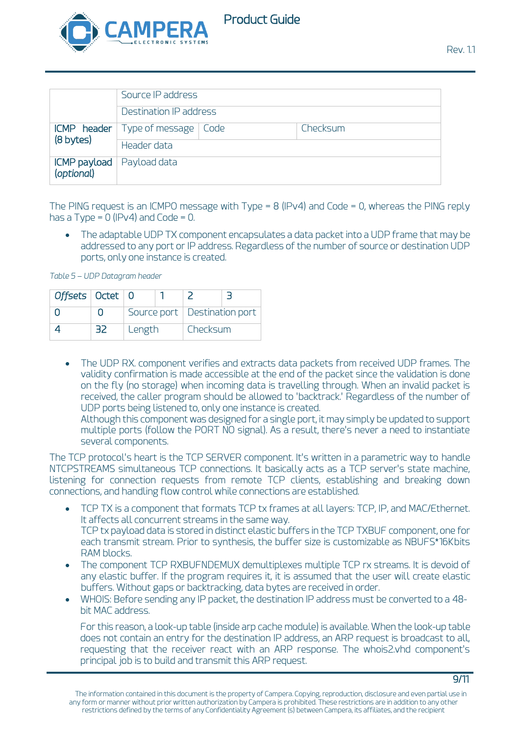

|                            | Source IP address                      |  |          |
|----------------------------|----------------------------------------|--|----------|
|                            | Destination IP address                 |  |          |
|                            | $ICMP$ header   Type of message   Code |  | Checksum |
| (8 bytes)                  | Header data                            |  |          |
| ICMP payload<br>(optional) | Payload data                           |  |          |

The PING request is an ICMPO message with Type = 8 (IPv4) and Code = 0, whereas the PING reply has a Type =  $0$  (IPv4) and Code =  $0$ .

• The adaptable UDP TX component encapsulates a data packet into a UDP frame that may be addressed to any port or IP address. Regardless of the number of source or destination UDP ports, only one instance is created.

*Table 5 – UDP Datagram header*

| Offsets $\vert$ Octet $\vert$ 0 |    |          |  |                                |  |
|---------------------------------|----|----------|--|--------------------------------|--|
|                                 |    |          |  | Source port   Destination port |  |
|                                 | 32 | I Length |  | l Checksum                     |  |

• The UDP RX. component verifies and extracts data packets from received UDP frames. The validity confirmation is made accessible at the end of the packet since the validation is done on the fly (no storage) when incoming data is travelling through. When an invalid packet is received, the caller program should be allowed to 'backtrack.' Regardless of the number of UDP ports being listened to, only one instance is created.

Although this component was designed for a single port, it may simply be updated to support multiple ports (follow the PORT NO signal). As a result, there's never a need to instantiate several components.

The TCP protocol's heart is the TCP SERVER component. It's written in a parametric way to handle NTCPSTREAMS simultaneous TCP connections. It basically acts as a TCP server's state machine, listening for connection requests from remote TCP clients, establishing and breaking down connections, and handling flow control while connections are established.

- TCP TX is a component that formats TCP tx frames at all layers: TCP, IP, and MAC/Ethernet. It affects all concurrent streams in the same way. TCP tx payload data is stored in distinct elastic buffers in the TCP TXBUF component, one for each transmit stream. Prior to synthesis, the buffer size is customizable as NBUFS\*16Kbits RAM blocks.
- The component TCP RXBUFNDEMUX demultiplexes multiple TCP rx streams. It is devoid of any elastic buffer. If the program requires it, it is assumed that the user will create elastic buffers. Without gaps or backtracking, data bytes are received in order.
- WHOIS: Before sending any IP packet, the destination IP address must be converted to a 48 bit MAC address.

For this reason, a look-up table (inside arp cache module) is available. When the look-up table does not contain an entry for the destination IP address, an ARP request is broadcast to all, requesting that the receiver react with an ARP response. The whois2.vhd component's principal job is to build and transmit this ARP request.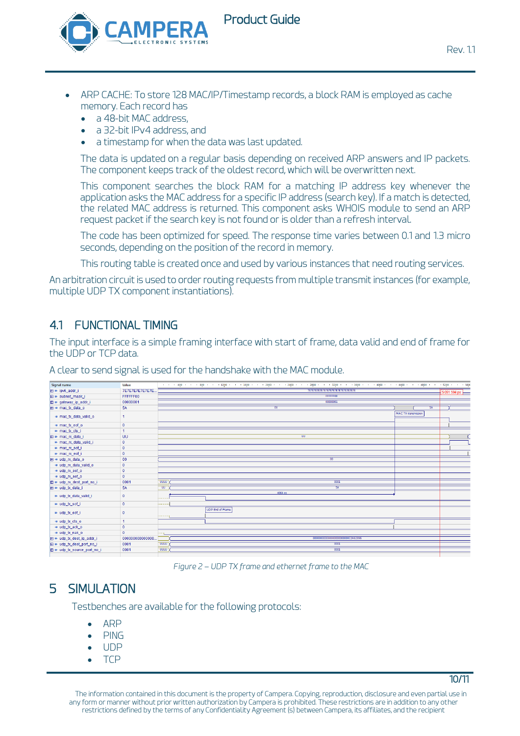

Product Guide

10/11

- ARP CACHE: To store 128 MAC/IP/Timestamp records, a block RAM is employed as cache memory. Each record has
	- a 48-bit MAC address,
	- a 32-bit IPv4 address, and
	- a timestamp for when the data was last updated.

The data is updated on a regular basis depending on received ARP answers and IP packets. The component keeps track of the oldest record, which will be overwritten next.

This component searches the block RAM for a matching IP address key whenever the application asks the MAC address for a specific IP address (search key). If a match is detected, the related MAC address is returned. This component asks WHOIS module to send an ARP request packet if the search key is not found or is older than a refresh interval.

The code has been optimized for speed. The response time varies between 0.1 and 1.3 micro seconds, depending on the position of the record in memory.

This routing table is created once and used by various instances that need routing services.

An arbitration circuit is used to order routing requests from multiple transmit instances (for example, multiple UDP TX component instantiations).

## 4.1 FUNCTIONAL TIMING

The input interface is a simple framing interface with start of frame, data valid and end of frame for the UDP or TCP data.

Signal name value<br>7E7E7E7E7E7E7E ZOUU<br>ETETETETETETETETETETETETETETET  $\overline{E}$  = ipv6\_addr\_  $F \rightarrow$  subnet mask **FFFFFFF00**  $\overline{H}$  = define index<br> $\overline{H}$  = gateway\_ip\_addr\_i<br> $\overline{H}$  = mac\_tx\_data\_o 0000000  $rac{60}{5A}$ MAC TX tra • mac tx data valid of  $\overline{1}$  $\bullet$  mac\_tx\_eof\_o  $\frac{1}{2}$   $\frac{1}{2}$   $\frac{1}{2}$   $\frac{1}{2}$   $\frac{1}{2}$   $\frac{1}{2}$   $\frac{1}{2}$   $\frac{1}{2}$   $\frac{1}{2}$   $\frac{1}{2}$   $\frac{1}{2}$   $\frac{1}{2}$   $\frac{1}{2}$   $\frac{1}{2}$   $\frac{1}{2}$   $\frac{1}{2}$   $\frac{1}{2}$   $\frac{1}{2}$   $\frac{1}{2}$   $\frac{1}{2}$   $\frac{1}{2}$   $\frac{1}{2}$   $\overline{U}$ mac\_n\_uata El = udp\_rx\_data\_  $00$  $\bullet$  udp\_rx\_data\_valid\_o<br>  $\bullet$  udp\_rx\_data\_valid\_o<br>  $\bullet$  udp\_rx\_sof\_o<br>  $\bullet$  udp\_rx\_eof\_o **El = udp\_n**c\_dest\_port\_no\_i 0001 ⊞ <sup>■</sup> udp\_tx\_data\_i  $54$  $\overline{u}$ · udp\_tx\_data\_valid\_i = udp\_tx\_sof\_i UDP End of Frame  $\bullet$  udp\_tx\_eof\_i  $=$  udp tx cts o  $= udp_kack_0$ <br>=  $udp_knak_0$ ÷٦, 00000000000000  $\mathbf{F}$  = udp tx dest ip addr i  $\begin{array}{rcl}\n\hline\n\text{H} &=& \text{udp\_tx\_dest\_port\_no\_} \\
\hline\n\text{H} &=& \text{udp\_tx\_source\_port\_no\_} \\
\hline\n\end{array}$  $\overline{0000}$  $0001$  $\frac{1}{\text{UUU}}$  $\frac{1}{000}$ 

A clear to send signal is used for the handshake with the MAC module.

*Figure 2 – UDP TX frame and ethernet frame to the MAC*

## 5 SIMULATION

Testbenches are available for the following protocols:

- ARP
- PING
- UDP
- TCP